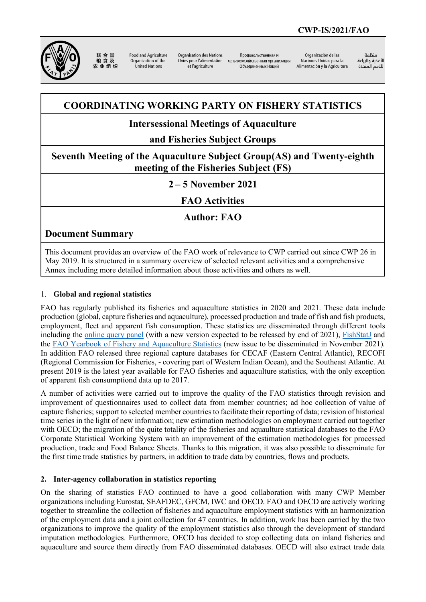

联合国 农业组织

**Ennd and Agriculture** Organization of the United Nations

Organisation des Nations Unies pour l'alimentation сельскохозяйственная организация et l'agriculture

Проловольственная и Объединенных Наций

Organización de las Naciones Unidas para la Alimentación y la Agricultura

änhin الأغذية والزراعة 

# **COORDINATING WORKING PARTY ON FISHERY STATISTICS**

# **Intersessional Meetings of Aquaculture**

# **and Fisheries Subject Groups**

**Seventh Meeting of the Aquaculture Subject Group(AS) and Twenty-eighth meeting of the Fisheries Subject (FS)**

**2 – 5 November 2021**

**FAO Activities**

**Author: FAO**

## **Document Summary**

This document provides an overview of the FAO work of relevance to CWP carried out since CWP 26 in May 2019. It is structured in a summary overview of selected relevant activities and a comprehensive Annex including more detailed information about those activities and others as well.

## 1. **Global and regional statistics**

FAO has regularly published its fisheries and aquaculture statistics in 2020 and 2021. These data include production (global, capture fisheries and aquaculture), processed production and trade of fish and fish products, employment, fleet and apparent fish consumption. These statistics are disseminated through different tools including the [online query panel](https://www.fao.org/fishery/topic/16140/en) (with a new version expected to be released by end of 2021), [FishStatJ](https://www.fao.org/fishery/statistics/software/fishstatj/en) and the [FAO Yearbook of Fishery and Aquaculture Statistics](https://www.fao.org/fishery/statistics/yearbook/en) (new issue to be disseminated in November 2021). In addition FAO released three regional capture databases for CECAF (Eastern Central Atlantic), RECOFI (Regional Commission for Fisheries, - covering part of Western Indian Ocean), and the Southeast Atlantic. At present 2019 is the latest year available for FAO fisheries and aquaculture statistics, with the only exception of apparent fish consumptiond data up to 2017.

A number of activities were carried out to improve the quality of the FAO statistics through revision and improvement of questionnaires used to collect data from member countries; ad hoc collection of value of capture fisheries; support to selected member countries to facilitate their reporting of data; revision of historical time series in the light of new information; new estimation methodologies on employment carried out together with OECD; the migration of the quite totality of the fisheries and aquaulture statistical databases to the FAO Corporate Statistical Working System with an improvement of the estimation methodologies for processed production, trade and Food Balance Sheets. Thanks to this migration, it was also possible to disseminate for the first time trade statistics by partners, in addition to trade data by countries, flows and products.

## **2. Inter-agency collaboration in statistics reporting**

On the sharing of statistics FAO continued to have a good collaboration with many CWP Member organizations including Eurostat, SEAFDEC, GFCM, IWC and OECD. FAO and OECD are actively working together to streamline the collection of fisheries and aquaculture employment statistics with an harmonization of the employment data and a joint collection for 47 countries. In addition, work has been carried by the two organizations to improve the quality of the employment statistics also through the development of standard imputation methodologies. Furthermore, OECD has decided to stop collecting data on inland fisheries and aquaculture and source them directly from FAO disseminated databases. OECD will also extract trade data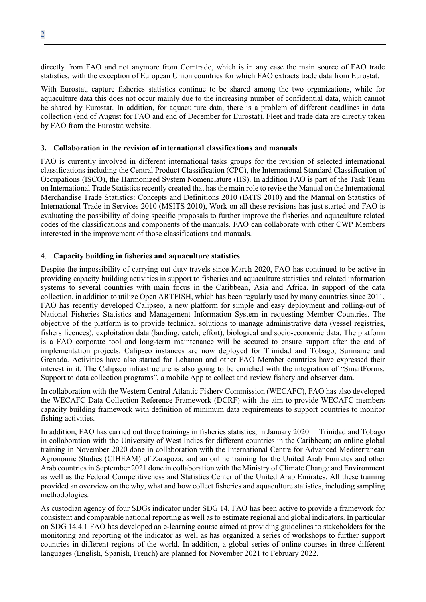directly from FAO and not anymore from Comtrade, which is in any case the main source of FAO trade statistics, with the exception of European Union countries for which FAO extracts trade data from Eurostat.

With Eurostat, capture fisheries statistics continue to be shared among the two organizations, while for aquaculture data this does not occur mainly due to the increasing number of confidential data, which cannot be shared by Eurostat. In addition, for aquaculture data, there is a problem of different deadlines in data collection (end of August for FAO and end of December for Eurostat). Fleet and trade data are directly taken by FAO from the Eurostat website.

#### **3. Collaboration in the revision of international classifications and manuals**

FAO is currently involved in different international tasks groups for the revision of selected international classifications including the Central Product Classification (CPC), the International Standard Classification of Occupations (ISCO), the Harmonized System Nomenclature (HS). In addition FAO is part of the Task Team on International Trade Statistics recently created that has the main role to revise the Manual on the International Merchandise Trade Statistics: Concepts and Definitions 2010 (IMTS 2010) and the Manual on Statistics of International Trade in Services 2010 (MSITS 2010), Work on all these revisions has just started and FAO is evaluating the possibility of doing specific proposals to further improve the fisheries and aquaculture related codes of the classifications and components of the manuals. FAO can collaborate with other CWP Members interested in the improvement of those classifications and manuals.

### 4. **Capacity building in fisheries and aquaculture statistics**

Despite the impossibility of carrying out duty travels since March 2020, FAO has continued to be active in providing capacity building activities in support to fisheries and aquaculture statistics and related information systems to several countries with main focus in the Caribbean, Asia and Africa. In support of the data collection, in addition to utilize Open ARTFISH, which has been regularly used by many countries since 2011, FAO has recently developed Calipseo, a new platform for simple and easy deployment and rolling-out of National Fisheries Statistics and Management Information System in requesting Member Countries. The objective of the platform is to provide technical solutions to manage administrative data (vessel registries, fishers licences), exploitation data (landing, catch, effort), biological and socio-economic data. The platform is a FAO corporate tool and long-term maintenance will be secured to ensure support after the end of implementation projects. Calipseo instances are now deployed for Trinidad and Tobago, Suriname and Grenada. Activities have also started for Lebanon and other FAO Member countries have expressed their interest in it. The Calipseo infrastructure is also going to be enriched with the integration of "SmartForms: Support to data collection programs", a mobile App to collect and review fishery and observer data.

In collaboration with the Western Central Atlantic Fishery Commission (WECAFC), FAO has also developed the WECAFC Data Collection Reference Framework (DCRF) with the aim to provide WECAFC members capacity building framework with definition of minimum data requirements to support countries to monitor fishing activities.

In addition, FAO has carried out three trainings in fisheries statistics, in January 2020 in Trinidad and Tobago in collaboration with the University of West Indies for different countries in the Caribbean; an online global training in November 2020 done in collaboration with the International Centre for Advanced Mediterranean Agronomic Studies (CIHEAM) of Zaragoza; and an online training for the United Arab Emirates and other Arab countries in September 2021 done in collaboration with the Ministry of Climate Change and Environment as well as the Federal Competitiveness and Statistics Center of the United Arab Emirates. All these training provided an overview on the why, what and how collect fisheries and aquaculture statistics, including sampling methodologies.

As custodian agency of four SDGs indicator under SDG 14, FAO has been active to provide a framework for consistent and comparable national reporting as well as to estimate regional and global indicators. In particular on SDG 14.4.1 FAO has developed an e-learning course aimed at providing guidelines to stakeholders for the monitoring and reporting ot the indicator as well as has organized a series of workshops to further support countries in different regions of the world. In addition, a global series of online courses in three different languages (English, Spanish, French) are planned for November 2021 to February 2022.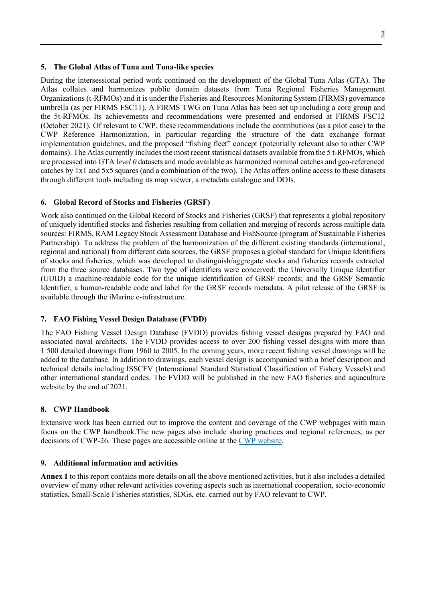#### **5. The Global Atlas of Tuna and Tuna-like species**

During the intersessional period work continued on the development of the Global Tuna Atlas (GTA). The Atlas collates and harmonizes public domain datasets from Tuna Regional Fisheries Management Organizations (t-RFMOs) and it is under the Fisheries and Resources Monitoring System (FIRMS) governance umbrella (as per FIRMS FSC11). A FIRMS TWG on Tuna Atlas has been set up including a core group and the 5t-RFMOs. Its achievements and recommendations were presented and endorsed at FIRMS FSC12 (October 2021). Of relevant to CWP, these recommendations include the contributions (as a pilot case) to the CWP Reference Harmonization, in particular regarding the structure of the data exchange format implementation guidelines, and the proposed "fishing fleet" concept (potentially relevant also to other CWP domains). The Atlas currently includes the most recent statistical datasets available from the 5 t-RFMOs, which are processed into GTA l*evel 0* datasets and made available as harmonized nominal catches and geo-referenced catches by 1x1 and 5x5 squares (and a combination of the two). The Atlas offers online access to these datasets through different tools including its map viewer, a metadata catalogue and DOIs.

#### **6. Global Record of Stocks and Fisheries (GRSF)**

Work also continued on the Global Record of Stocks and Fisheries (GRSF) that represents a global repository of uniquely identified stocks and fisheries resulting from collation and merging of records across multiple data sources: FIRMS, RAM Legacy Stock Assessment Database and FishSource (program of Sustainable Fisheries Partnership). To address the problem of the harmonization of the different existing standards (international, regional and national) from different data sources, the GRSF proposes a global standard for Unique Identifiers of stocks and fisheries, which was developed to distinguish/aggregate stocks and fisheries records extracted from the three source databases. Two type of identifiers were conceived: the Universally Unique Identifier (UUID) a machine-readable code for the unique identification of GRSF records; and the GRSF Semantic Identifier, a human-readable code and label for the GRSF records metadata. A pilot release of the GRSF is available through the iMarine e-infrastructure.

#### **7. FAO Fishing Vessel Design Database (FVDD)**

The FAO Fishing Vessel Design Database (FVDD) provides fishing vessel designs prepared by FAO and associated naval architects. The FVDD provides access to over 200 fishing vessel designs with more than 1 500 detailed drawings from 1960 to 2005. In the coming years, more recent fishing vessel drawings will be added to the database. In addition to drawings, each vessel design is accompanied with a brief description and technical details including ISSCFV (International Standard Statistical Classification of Fishery Vessels) and other international standard codes. The FVDD will be published in the new FAO fisheries and aquaculture website by the end of 2021.

#### **8. CWP Handbook**

Extensive work has been carried out to improve the content and coverage of the CWP webpages with main focus on the CWP handbook.The new pages also include sharing practices and regional references, as per decisions of CWP-26. These pages are accessible online at the [CWP website.](https://www.fao.org/cwp-on-fishery-statistics/en/)

#### **9. Additional information and activities**

**Annex 1** to this report contains more details on all the above mentioned activities, but it also includes a detailed overview of many other relevant activities covering aspects such as international cooperation, socio-economic statistics, Small-Scale Fisheries statistics, SDGs, etc. carried out by FAO relevant to CWP.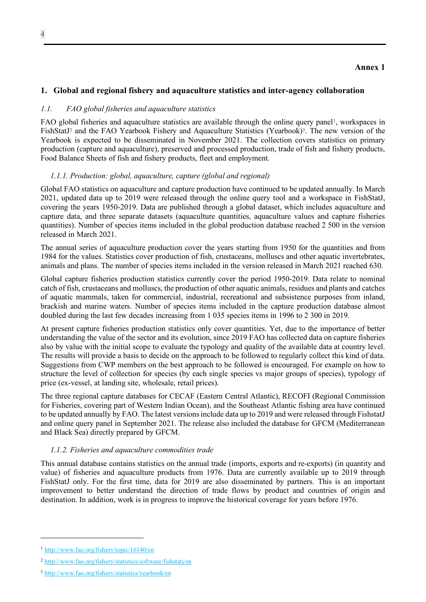## **1. Global and regional fishery and aquaculture statistics and inter-agency collaboration**

#### *1.1. FAO global fisheries and aquaculture statistics*

FAO global fisheries and aquaculture statistics are available through the online query panel<sup>[1](#page-3-0)</sup>, workspaces in FishStatJ<sup>[2](#page-3-1)</sup> and the FAO Yearbook Fishery and Aquaculture Statistics (Yearbook)<sup>3</sup>. The new version of the Yearbook is expected to be disseminated in November 2021. The collection covers statistics on primary production (capture and aquaculture), preserved and processed production, trade of fish and fishery products, Food Balance Sheets of fish and fishery products, fleet and employment.

#### *1.1.1. Production: global, aquaculture, capture (global and regional)*

Global FAO statistics on aquaculture and capture production have continued to be updated annually. In March 2021, updated data up to 2019 were released through the online query tool and a workspace in FishStatJ, covering the years 1950-2019. Data are published through a global dataset, which includes aquaculture and capture data, and three separate datasets (aquaculture quantities, aquaculture values and capture fisheries quantities). Number of species items included in the global production database reached 2 500 in the version released in March 2021.

The annual series of aquaculture production cover the years starting from 1950 for the quantities and from 1984 for the values. Statistics cover production of fish, crustaceans, molluscs and other aquatic invertebrates, animals and plans. The number of species items included in the version released in March 2021 reached 630.

Global capture fisheries production statistics currently cover the period 1950-2019. Data relate to nominal catch of fish, crustaceans and molluscs, the production of other aquatic animals, residues and plants and catches of aquatic mammals, taken for commercial, industrial, recreational and subsistence purposes from inland, brackish and marine waters. Number of species items included in the capture production database almost doubled during the last few decades increasing from 1 035 species items in 1996 to 2 300 in 2019.

At present capture fisheries production statistics only cover quantities. Yet, due to the importance of better understanding the value of the sector and its evolution, since 2019 FAO has collected data on capture fisheries also by value with the initial scope to evaluate the typology and quality of the available data at country level. The results will provide a basis to decide on the approach to be followed to regularly collect this kind of data. Suggestions from CWP members on the best approach to be followed is encouraged. For example on how to structure the level of collection for species (by each single species vs major groups of species), typology of price (ex-vessel, at landing site, wholesale, retail prices).

The three regional capture databases for CECAF (Eastern Central Atlantic), RECOFI (Regional Commission for Fisheries, covering part of Western Indian Ocean), and the Southeast Atlantic fishing area have continued to be updated annually by FAO. The latest versions include data up to 2019 and were released through FishstatJ and online query panel in September 2021. The release also included the database for GFCM (Mediterranean and Black Sea) directly prepared by GFCM.

#### *1.1.2. Fisheries and aquaculture commodities trade*

This annual database contains statistics on the annual trade (imports, exports and re-exports) (in quantity and value) of fisheries and aquaculture products from 1976. Data are currently available up to 2019 through FishStatJ only. For the first time, data for 2019 are also disseminated by partners. This is an important improvement to better understand the direction of trade flows by product and countries of origin and destination. In addition, work is in progress to improve the historical coverage for years before 1976.

<span id="page-3-0"></span><sup>1</sup> <http://www.fao.org/fishery/topic/16140/en>

<span id="page-3-1"></span><sup>2</sup> <http://www.fao.org/fishery/statistics/software/fishstatj/en>

<span id="page-3-2"></span><sup>3</sup> <http://www.fao.org/fishery/statistics/yearbook/en>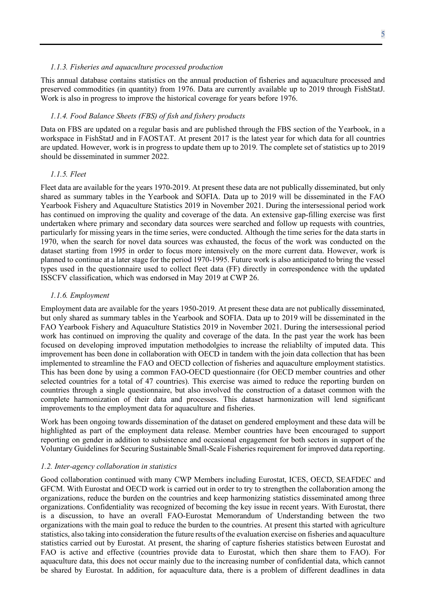#### *1.1.3. Fisheries and aquaculture processed production*

This annual database contains statistics on the annual production of fisheries and aquaculture processed and preserved commodities (in quantity) from 1976. Data are currently available up to 2019 through FishStatJ. Work is also in progress to improve the historical coverage for years before 1976.

#### *1.1.4. Food Balance Sheets (FBS) of fish and fishery products*

Data on FBS are updated on a regular basis and are published through the FBS section of the Yearbook, in a workspace in FishStatJ and in FAOSTAT. At present 2017 is the latest year for which data for all countries are updated. However, work is in progress to update them up to 2019. The complete set of statistics up to 2019 should be disseminated in summer 2022.

#### *1.1.5. Fleet*

Fleet data are available for the years 1970-2019. At present these data are not publically disseminated, but only shared as summary tables in the Yearbook and SOFIA. Data up to 2019 will be disseminated in the FAO Yearbook Fishery and Aquaculture Statistics 2019 in November 2021. During the intersessional period work has continued on improving the quality and coverage of the data. An extensive gap-filling exercise was first undertaken where primary and secondary data sources were searched and follow up requests with countries, particularly for missing years in the time series, were conducted. Although the time series for the data starts in 1970, when the search for novel data sources was exhausted, the focus of the work was conducted on the dataset starting from 1995 in order to focus more intensively on the more current data. However, work is planned to continue at a later stage for the period 1970-1995. Future work is also anticipated to bring the vessel types used in the questionnaire used to collect fleet data (FF) directly in correspondence with the updated ISSCFV classification, which was endorsed in May 2019 at CWP 26.

#### *1.1.6. Employment*

Employment data are available for the years 1950-2019. At present these data are not publically disseminated, but only shared as summary tables in the Yearbook and SOFIA. Data up to 2019 will be disseminated in the FAO Yearbook Fishery and Aquaculture Statistics 2019 in November 2021. During the intersessional period work has continued on improving the quality and coverage of the data. In the past year the work has been focused on developing improved imputation methodolgies to increase the reliablilty of imputed data. This improvement has been done in collaboration with OECD in tandem with the join data collection that has been implemented to streamline the FAO and OECD collection of fisheries and aquaculture employment statistics. This has been done by using a common FAO-OECD questionnaire (for OECD member countries and other selected countries for a total of 47 countries). This exercise was aimed to reduce the reporting burden on countries through a single questionnaire, but also involved the construction of a dataset common with the complete harmonization of their data and processes. This dataset harmonization will lend significant improvements to the employment data for aquaculture and fisheries.

Work has been ongoing towards dissemination of the dataset on gendered employment and these data will be highlighted as part of the employment data release. Member countries have been encouraged to support reporting on gender in addition to subsistence and occasional engagement for both sectors in support of the Voluntary Guidelines for Securing Sustainable Small-Scale Fisheries requirement for improved data reporting.

#### *1.2. Inter-agency collaboration in statistics*

Good collaboration continued with many CWP Members including Eurostat, ICES, OECD, SEAFDEC and GFCM. With Eurostat and OECD work is carried out in order to try to strengthen the collaboration among the organizations, reduce the burden on the countries and keep harmonizing statistics disseminated among three organizations. Confidentiality was recognized of becoming the key issue in recent years. With Eurostat, there is a discussion, to have an overall FAO-Eurostat Memorandum of Understanding between the two organizations with the main goal to reduce the burden to the countries. At present this started with agriculture statistics, also taking into consideration the future results of the evaluation exercise on fisheries and aquaculture statistics carried out by Eurostat. At present, the sharing of capture fisheries statistics between Eurostat and FAO is active and effective (countries provide data to Eurostat, which then share them to FAO). For aquaculture data, this does not occur mainly due to the increasing number of confidential data, which cannot be shared by Eurostat. In addition, for aquaculture data, there is a problem of different deadlines in data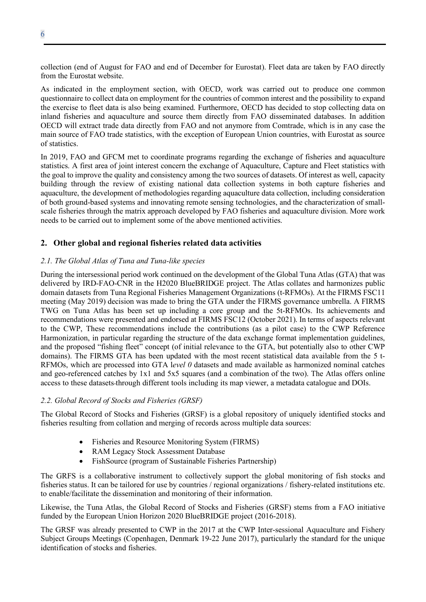collection (end of August for FAO and end of December for Eurostat). Fleet data are taken by FAO directly from the Eurostat website.

As indicated in the employment section, with OECD, work was carried out to produce one common questionnaire to collect data on employment for the countries of common interest and the possibility to expand the exercise to fleet data is also being examined. Furthermore, OECD has decided to stop collecting data on inland fisheries and aquaculture and source them directly from FAO disseminated databases. In addition OECD will extract trade data directly from FAO and not anymore from Comtrade, which is in any case the main source of FAO trade statistics, with the exception of European Union countries, with Eurostat as source of statistics.

In 2019, FAO and GFCM met to coordinate programs regarding the exchange of fisheries and aquaculture statistics. A first area of joint interest concern the exchange of Aquaculture, Capture and Fleet statistics with the goal to improve the quality and consistency among the two sources of datasets. Of interest as well, capacity building through the review of existing national data collection systems in both capture fisheries and aquaculture, the development of methodologies regarding aquaculture data collection, including consideration of both ground-based systems and innovating remote sensing technologies, and the characterization of smallscale fisheries through the matrix approach developed by FAO fisheries and aquaculture division. More work needs to be carried out to implement some of the above mentioned activities.

## **2. Other global and regional fisheries related data activities**

### *2.1. The Global Atlas of Tuna and Tuna-like species*

During the intersessional period work continued on the development of the Global Tuna Atlas (GTA) that was delivered by IRD-FAO-CNR in the H2020 BlueBRIDGE project. The Atlas collates and harmonizes public domain datasets from Tuna Regional Fisheries Management Organizations (t-RFMOs). At the FIRMS FSC11 meeting (May 2019) decision was made to bring the GTA under the FIRMS governance umbrella. A FIRMS TWG on Tuna Atlas has been set up including a core group and the 5t-RFMOs. Its achievements and recommendations were presented and endorsed at FIRMS FSC12 (October 2021). In terms of aspects relevant to the CWP, These recommendations include the contributions (as a pilot case) to the CWP Reference Harmonization, in particular regarding the structure of the data exchange format implementation guidelines, and the proposed "fishing fleet" concept (of initial relevance to the GTA, but potentially also to other CWP domains). The FIRMS GTA has been updated with the most recent statistical data available from the 5 t-RFMOs, which are processed into GTA l*evel 0* datasets and made available as harmonized nominal catches and geo-referenced catches by 1x1 and 5x5 squares (and a combination of the two). The Atlas offers online access to these datasets through different tools including its map viewer, a metadata catalogue and DOIs.

#### *2.2. Global Record of Stocks and Fisheries (GRSF)*

The Global Record of Stocks and Fisheries (GRSF) is a global repository of uniquely identified stocks and fisheries resulting from collation and merging of records across multiple data sources:

- Fisheries and Resource Monitoring System (FIRMS)
- RAM Legacy Stock Assessment Database
- FishSource (program of Sustainable Fisheries Partnership)

The GRFS is a collaborative instrument to collectively support the global monitoring of fish stocks and fisheries status. It can be tailored for use by countries / regional organizations / fishery-related institutions etc. to enable/facilitate the dissemination and monitoring of their information.

Likewise, the Tuna Atlas, the Global Record of Stocks and Fisheries (GRSF) stems from a FAO initiative funded by the European Union Horizon 2020 BlueBRIDGE project (2016-2018).

The GRSF was already presented to CWP in the 2017 at the CWP Inter-sessional Aquaculture and Fishery Subject Groups Meetings (Copenhagen, Denmark 19-22 June 2017), particularly the standard for the unique identification of stocks and fisheries.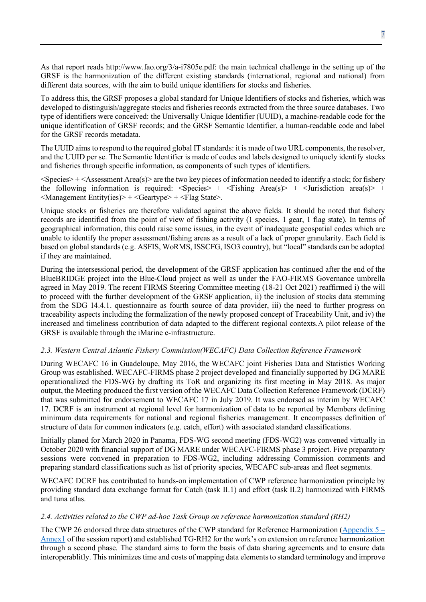As that report reads http://www.fao.org/3/a-i7805e.pdf: the main technical challenge in the setting up of the GRSF is the harmonization of the different existing standards (international, regional and national) from different data sources, with the aim to build unique identifiers for stocks and fisheries.

To address this, the GRSF proposes a global standard for Unique Identifiers of stocks and fisheries, which was developed to distinguish/aggregate stocks and fisheries records extracted from the three source databases. Two type of identifiers were conceived: the Universally Unique Identifier (UUID), a machine-readable code for the unique identification of GRSF records; and the GRSF Semantic Identifier, a human-readable code and label for the GRSF records metadata.

The UUID aims to respond to the required global IT standards: it is made of two URL components, the resolver, and the UUID per se. The Semantic Identifier is made of codes and labels designed to uniquely identify stocks and fisheries through specific information, as components of such types of identifiers.

 $\langle$ Species> +  $\langle$ Assessment Area(s)> are the two key pieces of information needed to identify a stock; for fishery the following information is required:  $\langle$ Species $> + \langle$ Fishing Area(s) $> + \langle$ Jurisdiction area(s) $> + \langle$  $\leq$ Management Entity(ies)> +  $\leq$ Geartype> +  $\leq$ Flag State>.

Unique stocks or fisheries are therefore validated against the above fields. It should be noted that fishery records are identified from the point of view of fishing activity (1 species, 1 gear, 1 flag state). In terms of geographical information, this could raise some issues, in the event of inadequate geospatial codes which are unable to identify the proper assessment/fishing areas as a result of a lack of proper granularity. Each field is based on global standards (e.g. ASFIS, WoRMS, ISSCFG, ISO3 country), but "local" standards can be adopted if they are maintained.

During the intersessional period, the development of the GRSF application has continued after the end of the BlueBRIDGE project into the Blue-Cloud project as well as under the FAO-FIRMS Governance umbrella agreed in May 2019. The recent FIRMS Steering Committee meeting (18-21 Oct 2021) reaffirmed i) the will to proceed with the further development of the GRSF application, ii) the inclusion of stocks data stemming from the SDG 14.4.1. questionnaire as fourth source of data provider, iii) the need to further progress on traceability aspects including the formalization of the newly proposed concept of Traceability Unit, and iv) the increased and timeliness contribution of data adapted to the different regional contexts.A pilot release of the GRSF is available through the iMarine e-infrastructure.

#### *2.3. Western Central Atlantic Fishery Commission(WECAFC) Data Collection Reference Framework*

During WECAFC 16 in Guadeloupe, May 2016, the WECAFC joint Fisheries Data and Statistics Working Group was established. WECAFC-FIRMS phase 2 project developed and financially supported by DG MARE operationalized the FDS-WG by drafting its ToR and organizing its first meeting in May 2018. As major output, the Meeting produced the first version of the WECAFC Data Collection Reference Framework (DCRF) that was submitted for endorsement to WECAFC 17 in July 2019. It was endorsed as interim by WECAFC 17. DCRF is an instrument at regional level for harmonization of data to be reported by Members defining minimum data requirements for national and regional fisheries management. It encompasses definition of structure of data for common indicators (e.g. catch, effort) with associated standard classifications.

Initially planed for March 2020 in Panama, FDS-WG second meeting (FDS-WG2) was convened virtually in October 2020 with financial support of DG MARE under WECAFC-FIRMS phase 3 project. Five preparatory sessions were convened in preparation to FDS-WG2, including addressing Commission comments and preparing standard classifications such as list of priority species, WECAFC sub-areas and fleet segments.

WECAFC DCRF has contributed to hands-on implementation of CWP reference harmonization principle by providing standard data exchange format for Catch (task II.1) and effort (task II.2) harmonized with FIRMS and tuna atlas.

#### *2.4. Activities related to the CWP ad-hoc Task Group on reference harmonization standard (RH2)*

The CWP 26 endorsed three data structures of the CWP standard for Reference Harmonization [\(Appendix 5 –](http://www.fao.org/3/ca6684en/ca6684en.pdf) [Annex1](http://www.fao.org/3/ca6684en/ca6684en.pdf) of the session report) and established TG-RH2 for the work's on extension on reference harmonization through a second phase. The standard aims to form the basis of data sharing agreements and to ensure data interoperablitly. This minimizes time and costs of mapping data elements to standard terminology and improve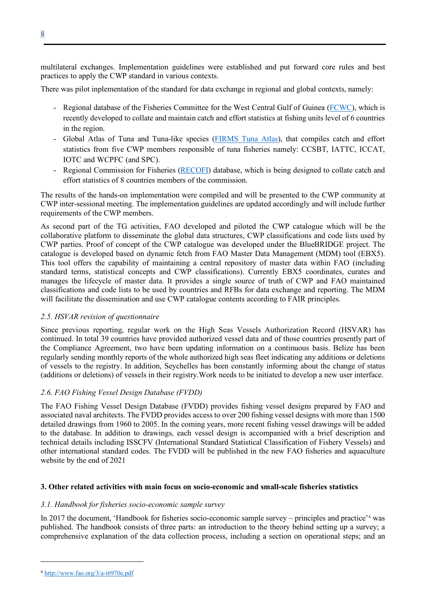multilateral exchanges. Implementation guidelines were established and put forward core rules and best practices to apply the CWP standard in various contexts.

There was pilot inplementation of the standard for data exchange in regional and global contexts, namely:

- Regional database of the Fisheries Committee for the West Central Gulf of Guinea [\(FCWC\)](https://fcwc-fish.org/), which is recently developed to collate and maintain catch and effort statistics at fishing units level of 6 countries in the region.
- Global Atlas of Tuna and Tuna-like species [\(FIRMS Tuna Atlas\)](http://firms.fao.org/firms/topic/18037/en), that compiles catch and effort statistics from five CWP members responsible of tuna fisheries namely: CCSBT, IATTC, ICCAT, IOTC and WCPFC (and SPC).
- Regional Commission for Fisheries [\(RECOFI\)](http://www.fao.org/fishery/rfb/recofi/en) database, which is being designed to collate catch and effort statistics of 8 countries members of the commission.

The results of the hands-on implementation were compiled and will be presented to the CWP community at CWP inter-sessional meeting. The implementation guidelines are updated accordingly and will include further requirements of the CWP members.

As second part of the TG activities, FAO developed and piloted the CWP catalogue which will be the collaborative platform to disseminate the global data structures, CWP classifications and code lists used by CWP parties. Proof of concept of the CWP catalogue was developed under the BlueBRIDGE project. The catalogue is developed based on dynamic fetch from FAO Master Data Management (MDM) tool (EBX5). This tool offers the capability of maintaining a central repository of master data within FAO (including standard terms, statistical concepts and CWP classifications). Currently EBX5 coordinates, curates and manages the lifecycle of master data. It provides a single source of truth of CWP and FAO maintained classifications and code lists to be used by countries and RFBs for data exchange and reporting. The MDM will facilitate the dissemination and use CWP catalogue contents according to FAIR principles.

#### *2.5. HSVAR revision of questionnaire*

Since previous reporting, regular work on the [High Seas Vessels Authorization Record](http://www.fao.org/fishery/collection/hsvar/en) (HSVAR) has continued. In total 39 countries have provided authorized vessel data and of those countries presently part of the Compliance Agreement, two have been updating information on a continuous basis. Belize has been regularly sending monthly reports of the whole authorized high seas fleet indicating any additions or deletions of vessels to the registry. In addition, Seychelles has been constantly informing about the change of status (additions or deletions) of vessels in their registry.Work needs to be initiated to develop a new user interface.

## *2.6. FAO Fishing Vessel Design Database (FVDD)*

The FAO Fishing Vessel Design Database (FVDD) provides fishing vessel designs prepared by FAO and associated naval architects. The FVDD provides access to over 200 fishing vessel designs with more than 1500 detailed drawings from 1960 to 2005. In the coming years, more recent fishing vessel drawings will be added to the database. In addition to drawings, each vessel design is accompanied with a brief description and technical details including ISSCFV (International Standard Statistical Classification of Fishery Vessels) and other international standard codes. The FVDD will be published in the new FAO fisheries and aquaculture website by the end of 2021

#### **3. Other related activities with main focus on socio-economic and small-scale fisheries statistics**

#### *3.1. Handbook for fisheries socio-economic sample survey*

In 2017 the document, 'Handbook for fisheries socio-economic sample survey – principles and practice'[4](#page-7-0) was published. The handbook consists of three parts: an introduction to the theory behind setting up a survey; a comprehensive explanation of the data collection process, including a section on operational steps; and an

<span id="page-7-0"></span><sup>4</sup> <http://www.fao.org/3/a-i6970e.pdf>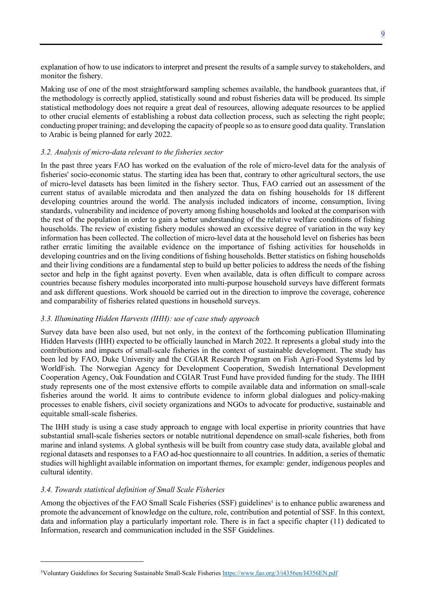explanation of how to use indicators to interpret and present the results of a sample survey to stakeholders, and monitor the fishery.

Making use of one of the most straightforward sampling schemes available, the handbook guarantees that, if the methodology is correctly applied, statistically sound and robust fisheries data will be produced. Its simple statistical methodology does not require a great deal of resources, allowing adequate resources to be applied to other crucial elements of establishing a robust data collection process, such as selecting the right people; conducting proper training; and developing the capacity of people so as to ensure good data quality. Translation to Arabic is being planned for early 2022.

### *3.2. Analysis of micro-data relevant to the fisheries sector*

In the past three years FAO has worked on the evaluation of the role of micro-level data for the analysis of fisheries' socio-economic status. The starting idea has been that, contrary to other agricultural sectors, the use of micro-level datasets has been limited in the fishery sector. Thus, FAO carried out an assessment of the current status of available microdata and then analyzed the data on fishing households for 18 different developing countries around the world. The analysis included indicators of income, consumption, living standards, vulnerability and incidence of poverty among fishing households and looked at the comparison with the rest of the population in order to gain a better understanding of the relative welfare conditions of fishing households. The review of existing fishery modules showed an excessive degree of variation in the way key information has been collected. The collection of micro-level data at the household level on fisheries has been rather erratic limiting the available evidence on the importance of fishing activities for households in developing countries and on the living conditions of fishing households. Better statistics on fishing households and their living conditions are a fundamental step to build up better policies to address the needs of the fishing sector and help in the fight against poverty. Even when available, data is often difficult to compare across countries because fishery modules incorporated into multi-purpose household surveys have different formats and ask different questions. Work shouold be carried out in the direction to improve the coverage, coherence and comparability of fisheries related questions in household surveys.

#### *3.3. Illuminating Hidden Harvests (IHH): use of case study approach*

Survey data have been also used, but not only, in the context of the forthcoming publication Illuminating Hidden Harvests (IHH) expected to be officially launched in March 2022. It represents a global study into the contributions and impacts of small-scale fisheries in the context of sustainable development. The study has been led by FAO, Duke University and the CGIAR Research Program on Fish Agri-Food Systems led by WorldFish. The Norwegian Agency for Development Cooperation, Swedish International Development Cooperation Agency, Oak Foundation and CGIAR Trust Fund have provided funding for the study. The IHH study represents one of the most extensive efforts to compile available data and information on small-scale fisheries around the world. It aims to contribute evidence to inform global dialogues and policy-making processes to enable fishers, civil society organizations and NGOs to advocate for productive, sustainable and equitable small-scale fisheries.

The IHH study is using a case study approach to engage with local expertise in priority countries that have substantial small-scale fisheries sectors or notable nutritional dependence on small-scale fisheries, both from marine and inland systems. A global synthesis will be built from country case study data, available global and regional datasets and responses to a FAO ad-hoc questionnaire to all countries. In addition, a series of thematic studies will highlight available information on important themes, for example: gender, indigenous peoples and cultural identity.

## *3.4. Towards statistical definition of Small Scale Fisheries*

Among the objectives of the FAO Small Scale Fisheries (SSF) guidelines<sup>[5](#page-8-0)</sup> is to enhance public awareness and promote the advancement of knowledge on the culture, role, contribution and potential of SSF. In this context, data and information play a particularly important role. There is in fact a specific chapter (11) dedicated to Information, research and communication included in the SSF Guidelines.

<span id="page-8-0"></span><sup>5</sup>Voluntary Guidelines for Securing Sustainable Small-Scale Fisherie[s https://www.fao.org/3/i4356en/I4356EN.pdf](https://www.fao.org/3/i4356en/I4356EN.pdf)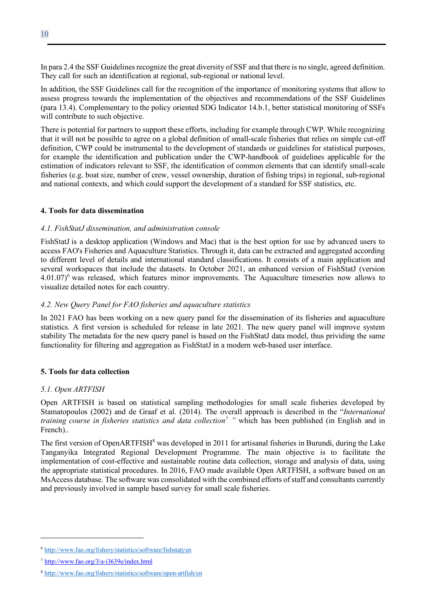In para 2.4 the SSF Guidelines recognize the great diversity of SSF and that there is no single, agreed definition. They call for such an identification at regional, sub-regional or national level.

In addition, the SSF Guidelines call for the recognition of the importance of monitoring systems that allow to assess progress towards the implementation of the objectives and recommendations of the SSF Guidelines (para 13.4). Complementary to the policy oriented SDG Indicator 14.b.1, better statistical monitoring of SSFs will contribute to such objective.

There is potential for partners to support these efforts, including for example through CWP. While recognizing that it will not be possible to agree on a global definition of small-scale fisheries that relies on simple cut-off definition, CWP could be instrumental to the development of standards or guidelines for statistical purposes, for example the identification and publication under the CWP-handbook of guidelines applicable for the estimation of indicators relevant to SSF, the identification of common elements that can identify small-scale fisheries (e.g. boat size, number of crew, vessel ownership, duration of fishing trips) in regional, sub-regional and national contexts, and which could support the development of a standard for SSF statistics, etc.

#### **4. Tools for data dissemination**

#### *4.1. FishStatJ dissemination, and administration console*

FishStatJ is a desktop application (Windows and Mac) that is the best option for use by advanced users to access FAO's Fisheries and Aquaculture Statistics. Through it, data can be extracted and aggregated according to different level of details and international standard classifications. It consists of a main application and several workspaces that include the datasets. In October 2021, an [enhanced version of FishStatJ \(version](http://www.fao.org/fishery/static/FishStatJ/FishStatJ_3.05.0_Installer.exe)   $4.01.07$ <sup>[6](#page-9-0)</sup> was released, which features minor improvements. The Aquaculture timeseries now allows to visualize detailed notes for each country.

### *4.2. New Query Panel for FAO fisheries and aquaculture statistics*

In 2021 FAO has been working on a new query panel for the dissemination of its fisheries and aquaculture statistics. A first version is scheduled for release in late 2021. The new query panel will improve system stability The metadata for the new query panel is based on the FishStatJ data model, thus prividing the same functionality for filtering and aggregation as FishStatJ in a modern web-based user interface.

#### **5. Tools for data collection**

#### *5.1. Open ARTFISH*

Open ARTFISH is based on statistical sampling methodologies for small scale fisheries developed by Stamatopoulos (2002) and de Graaf et al. (2014). The overall approach is described in the "*International training course in fisheries statistics and data collection[7](#page-9-1) "* which has been published (in English and in French)..

The first version of OpenARTFISH<sup>[8](#page-9-2)</sup> was developed in 2011 for artisanal fisheries in Burundi, during the Lake Tanganyika Integrated Regional Development Programme. The main objective is to facilitate the implementation of cost-effective and sustainable routine data collection, storage and analysis of data, using the appropriate statistical procedures. In 2016, FAO made available Open ARTFISH, a software based on an MsAccess database. The software was consolidated with the combined efforts of staff and consultants currently and previously involved in sample based survey for small scale fisheries.

<span id="page-9-0"></span><sup>6</sup> <http://www.fao.org/fishery/statistics/software/fishstatj/en>

<span id="page-9-1"></span><sup>7</sup> http://www.fao.org/3/a-i3639e/index.html

<span id="page-9-2"></span><sup>8</sup> <http://www.fao.org/fishery/statistics/software/open-artfish/en>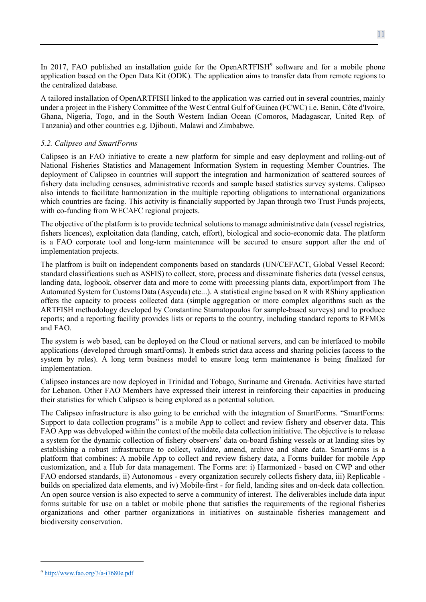In 2017, FAO published an installation guide for the OpenARTFISH $<sup>9</sup>$  $<sup>9</sup>$  $<sup>9</sup>$  software and for a mobile phone</sup> application based on the Open Data Kit (ODK). The application aims to transfer data from remote regions to the centralized database.

A tailored installation of OpenARTFISH linked to the application was carried out in several countries, mainly under a project in the Fishery Committee of the West Central Gulf of Guinea (FCWC) i.e. Benin, Côte d'Ivoire, Ghana, Nigeria, Togo, and in the South Western Indian Ocean (Comoros, Madagascar, United Rep. of Tanzania) and other countries e.g. Djibouti, Malawi and Zimbabwe.

### *5.2. Calipseo and SmartForms*

Calipseo is an FAO initiative to create a new platform for simple and easy deployment and rolling-out of National Fisheries Statistics and Management Information System in requesting Member Countries. The deployment of Calipseo in countries will support the integration and harmonization of scattered sources of fishery data including censuses, administrative records and sample based statistics survey systems. Calipseo also intends to facilitate harmonization in the multiple reporting obligations to international organizations which countries are facing. This activity is financially supported by Japan through two Trust Funds projects, with co-funding from WECAFC regional projects.

The objective of the platform is to provide technical solutions to manage administrative data (vessel registries, fishers licences), exploitation data (landing, catch, effort), biological and socio-economic data. The platform is a FAO corporate tool and long-term maintenance will be secured to ensure support after the end of implementation projects.

The platfrom is built on independent components based on standards (UN/CEFACT, Global Vessel Record; standard classifications such as ASFIS) to collect, store, process and disseminate fisheries data (vessel census, landing data, logbook, observer data and more to come with processing plants data, export/import from The Automated System for Customs Data (Asycuda) etc...). A statistical engine based on R with RShiny application offers the capacity to process collected data (simple aggregation or more complex algorithms such as the ARTFISH methodology developed by Constantine Stamatopoulos for sample-based surveys) and to produce reports; and a reporting facility provides lists or reports to the country, including standard reports to RFMOs and FAO.

The system is web based, can be deployed on the Cloud or national servers, and can be interfaced to mobile applications (developed through smartForms). It embeds strict data access and sharing policies (access to the system by roles). A long term business model to ensure long term maintenance is being finalized for implementation.

Calipseo instances are now deployed in Trinidad and Tobago, Suriname and Grenada. Activities have started for Lebanon. Other FAO Members have expressed their interest in reinforcing their capacities in producing their statistics for which Calipseo is being explored as a potential solution.

The Calipseo infrastructure is also going to be enriched with the integration of SmartForms. "SmartForms: Support to data collection programs" is a mobile App to collect and review fishery and observer data. This FAO App was debveloped within the context of the mobile data collection initiative. The objective is to release a system for the dynamic collection of fishery observers' data on-board fishing vessels or at landing sites by establishing a robust infrastructure to collect, validate, amend, archive and share data. SmartForms is a platform that combines: A mobile App to collect and review fishery data, a Forms builder for mobile App customization, and a Hub for data management. The Forms are: i) Harmonized - based on CWP and other FAO endorsed standards, ii) Autonomous - every organization securely collects fishery data, iii) Replicable builds on specialized data elements, and iv) Mobile-first - for field, landing sites and on-deck data collection. An open source version is also expected to serve a community of interest. The deliverables include data input forms suitable for use on a tablet or mobile phone that satisfies the requirements of the regional fisheries organizations and other partner organizations in initiatives on sustainable fisheries management and biodiversity conservation.

<span id="page-10-0"></span><sup>9</sup> <http://www.fao.org/3/a-i7680e.pdf>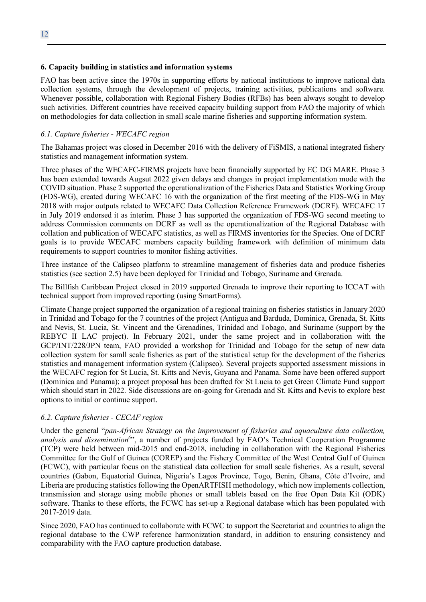#### **6. Capacity building in statistics and information systems**

FAO has been active since the 1970s in supporting efforts by national institutions to improve national data collection systems, through the development of projects, training activities, publications and software. Whenever possible, collaboration with Regional Fishery Bodies (RFBs) has been always sought to develop such activities. Different countries have received capacity building support from FAO the majority of which on methodologies for data collection in small scale marine fisheries and supporting information system.

#### *6.1. Capture fisheries - WECAFC region*

The Bahamas project was closed in December 2016 with the delivery of FiSMIS, a national integrated fishery statistics and management information system.

Three phases of the WECAFC-FIRMS projects have been financially supported by EC DG MARE. Phase 3 has been extended towards Augsut 2022 given delays and changes in project implementation mode with the COVID situation. Phase 2 supported the operationalization of the Fisheries Data and Statistics Working Group (FDS-WG), created during WECAFC 16 with the organization of the first meeting of the FDS-WG in May 2018 with major outputs related to WECAFC Data Collection Reference Framework (DCRF). WECAFC 17 in July 2019 endorsed it as interim. Phase 3 has supported the organization of FDS-WG second meeting to address Commission comments on DCRF as well as the operationalization of the Regional Database with collation and publication of WECAFC statistics, as well as FIRMS inventories for the Species. One of DCRF goals is to provide WECAFC members capacity building framework with definition of minimum data requirements to support countries to monitor fishing activities.

Three instance of the Calipseo platform to streamline management of fisheries data and produce fisheries statistics (see section 2.5) have been deployed for Trinidad and Tobago, Suriname and Grenada.

The Billfish Caribbean Project closed in 2019 supported Grenada to improve their reporting to ICCAT with technical support from improved reporting (using SmartForms).

Climate Change project supported the organization of a regional training on fisheries statistics in January 2020 in Trinidad and Tobago for the 7 countries of the project (Antigua and Barduda, Dominica, Grenada, St. Kitts and Nevis, St. Lucia, St. Vincent and the Grenadines, Trinidad and Tobago, and Suriname (support by the REBYC II LAC project). In February 2021, under the same project and in collaboration with the GCP/INT/228/JPN team, FAO provided a workshop for Trinidad and Tobago for the setup of new data collection system for samll scale fisheries as part of the statistical setup for the development of the fisheries statistics and management information system (Calipseo). Several projects supported assessment missions in the WECAFC region for St Lucia, St. Kitts and Nevis, Guyana and Panama. Some have been offered support (Dominica and Panama); a project proposal has been drafted for St Lucia to get Green Climate Fund support which should start in 2022. Side discussions are on-going for Grenada and St. Kitts and Nevis to explore best options to initial or continue support.

#### *6.2. Capture fisheries - CECAF region*

Under the general "*pan-African Strategy on the improvement of fisheries and aquaculture data collection,*  analysis and dissemination<sup>6</sup>", a number of projects funded by FAO's Technical Cooperation Programme (TCP) were held between mid-2015 and end-2018, including in collaboration with the Regional Fisheries Committee for the Gulf of Guinea (COREP) and the Fishery Committee of the West Central Gulf of Guinea (FCWC), with particular focus on the statistical data collection for small scale fisheries. As a result, several countries (Gabon, Equatorial Guinea, Nigeria's Lagos Province, Togo, Benin, Ghana, Côte d'Ivoire, and Liberia are producing statistics following the OpenARTFISH methodology, which now implements collection, transmission and storage using mobile phones or small tablets based on the free Open Data Kit (ODK) software. Thanks to these efforts, the FCWC has set-up a Regional database which has been populated with 2017-2019 data.

Since 2020, FAO has continued to collaborate with FCWC to support the Secretariat and countries to align the regional database to the CWP reference harmonization standard, in addition to ensuring consistency and comparability with the FAO capture production database.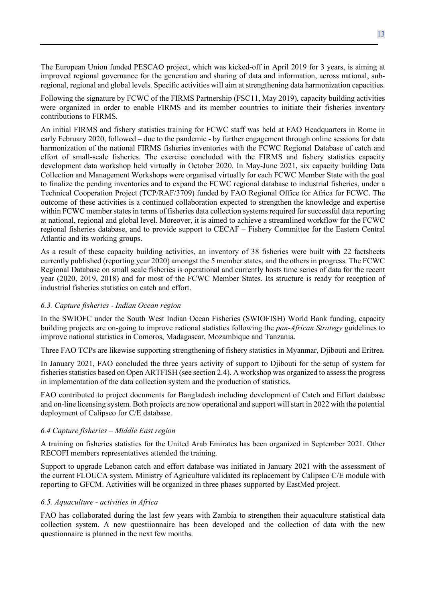The European Union funded PESCAO project, which was kicked-off in April 2019 for 3 years, is aiming at improved regional governance for the generation and sharing of data and information, across national, subregional, regional and global levels. Specific activities will aim at strengthening data harmonization capacities.

Following the signature by FCWC of the FIRMS Partnership (FSC11, May 2019), capacity building activities were organized in order to enable FIRMS and its member countries to initiate their fisheries inventory contributions to FIRMS.

An initial FIRMS and fishery statistics training for FCWC staff was held at FAO Headquarters in Rome in early February 2020, followed – due to the pandemic - by further engagement through online sessions for data harmonization of the national FIRMS fisheries inventories with the FCWC Regional Database of catch and effort of small-scale fisheries. The exercise concluded with the FIRMS and fishery statistics capacity development data workshop held virtually in October 2020. In May-June 2021, six capacity building Data Collection and Management Workshops were organised virtually for each FCWC Member State with the goal to finalize the pending inventories and to expand the FCWC regional database to industrial fisheries, under a Technical Cooperation Project (TCP/RAF/3709) funded by FAO Regional Office for Africa for FCWC. The outcome of these activities is a continued collaboration expected to strengthen the knowledge and expertise within FCWC member states in terms of fisheries data collection systems required for successful data reporting at national, regional and global level. Moreover, it is aimed to achieve a streamlined workflow for the FCWC regional fisheries database, and to provide support to CECAF – Fishery Committee for the Eastern Central Atlantic and its working groups.

As a result of these capacity building activities, an inventory of 38 fisheries were built with 22 factsheets currently published (reporting year 2020) amongst the 5 member states, and the others in progress. The FCWC Regional Database on small scale fisheries is operational and currently hosts time series of data for the recent year (2020, 2019, 2018) and for most of the FCWC Member States. Its structure is ready for reception of industrial fisheries statistics on catch and effort.

## *6.3. Capture fisheries - Indian Ocean region*

In the SWIOFC under the South West Indian Ocean Fisheries (SWIOFISH) World Bank funding, capacity building projects are on-going to improve national statistics following the *pan-African Strategy* guidelines to improve national statistics in Comoros, Madagascar, Mozambique and Tanzania.

Three FAO TCPs are likewise supporting strengthening of fishery statistics in Myanmar, Djibouti and Eritrea.

In January 2021, FAO concluded the three years activity of support to Djibouti for the setup of system for fisheries statistics based on Open ARTFISH (see section 2.4). A workshop was organized to assess the progress in implementation of the data collection system and the production of statistics.

FAO contributed to project documents for Bangladesh including development of Catch and Effort database and on-line licensing system. Both projects are now operational and support will start in 2022 with the potential deployment of Calipseo for C/E database.

#### *6.4 Capture fisheries – Middle East region*

A training on fisheries statistics for the United Arab Emirates has been organized in September 2021. Other RECOFI members representatives attended the training.

Support to upgrade Lebanon catch and effort database was initiated in January 2021 with the assessment of the current FLOUCA system. Ministry of Agriculture validated its replacement by Calipseo C/E module with reporting to GFCM. Activities will be organized in three phases supported by EastMed project.

#### *6.5. Aquaculture - activities in Africa*

FAO has collaborated during the last few years with Zambia to strengthen their aquaculture statistical data collection system. A new questiionnaire has been developed and the collection of data with the new questionnaire is planned in the next few months.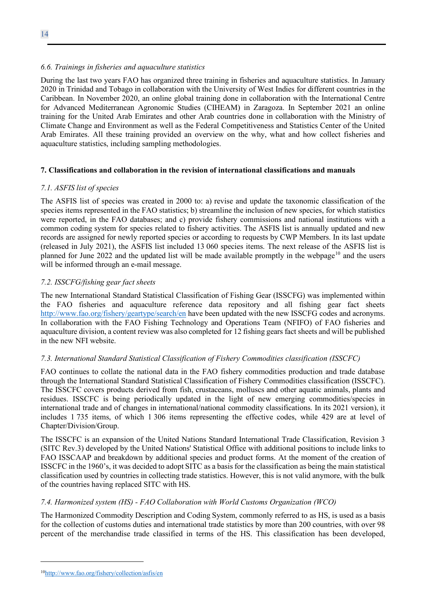During the last two years FAO has organized three training in fisheries and aquaculture statistics. In January 2020 in Trinidad and Tobago in collaboration with the University of West Indies for different countries in the Caribbean. In November 2020, an online global training done in collaboration with the International Centre for Advanced Mediterranean Agronomic Studies (CIHEAM) in Zaragoza. In September 2021 an online training for the United Arab Emirates and other Arab countries done in collaboration with the Ministry of Climate Change and Environment as well as the Federal Competitiveness and Statistics Center of the United Arab Emirates. All these training provided an overview on the why, what and how collect fisheries and aquaculture statistics, including sampling methodologies.

## **7. Classifications and collaboration in the revision of international classifications and manuals**

## *7.1. ASFIS list of species*

The ASFIS list of species was created in 2000 to: a) revise and update the taxonomic classification of the species items represented in the FAO statistics; b) streamline the inclusion of new species, for which statistics were reported, in the FAO databases; and c) provide fishery commissions and national institutions with a common coding system for species related to fishery activities. The ASFIS list is annually updated and new records are assigned for newly reported species or according to requests by CWP Members. In its last update (released in July 2021), the ASFIS list included 13 060 species items. The next release of the ASFIS list is planned for June 2022 and the updated list will be made available promptly in the webpage<sup>[10](#page-13-0)</sup> and the users will be informed through an e-mail message.

## *7.2. ISSCFG/fishing gear fact sheets*

The new International Standard Statistical Classification of Fishing Gear (ISSCFG) was implemented within the FAO fisheries and aquaculture reference data repository and all fishing gear fact sheets <http://www.fao.org/fishery/geartype/search/en> have been updated with the new ISSCFG codes and acronyms. In collaboration with the FAO Fishing Technology and Operations Team (NFIFO) of FAO fisheries and aquaculture division, a content review was also completed for 12 fishing gears fact sheets and will be published in the new NFI website.

## *7.3. International Standard Statistical Classification of Fishery Commodities classification (ISSCFC)*

FAO continues to collate the national data in the FAO fishery commodities production and trade database through the International Standard Statistical Classification of Fishery Commodities classification (ISSCFC). The ISSCFC covers products derived from fish, crustaceans, molluscs and other aquatic animals, plants and residues. ISSCFC is being periodically updated in the light of new emerging commodities/species in international trade and of changes in international/national commodity classifications. In its 2021 version), it includes 1 735 items, of which 1 306 items representing the effective codes, while 429 are at level of Chapter/Division/Group.

The ISSCFC is an expansion of the United Nations Standard International Trade Classification, Revision 3 (SITC Rev.3) developed by the United Nations' Statistical Office with additional positions to include links to FAO ISSCAAP and breakdown by additional species and product forms. At the moment of the creation of ISSCFC in the 1960's, it was decided to adopt SITC as a basis for the classification as being the main statistical classification used by countries in collecting trade statistics. However, this is not valid anymore, with the bulk of the countries having replaced SITC with HS.

# *7.4. Harmonized system (HS) - FAO Collaboration with World Customs Organization (WCO)*

The Harmonized Commodity Description and Coding System, commonly referred to as HS, is used as a basis for the collection of customs duties and international trade statistics by more than 200 countries, with over 98 percent of the merchandise trade classified in terms of the HS. This classification has been developed,

<span id="page-13-0"></span><sup>1</sup>[0http://www.fao.org/fishery/collection/asfis/en](http://www.fao.org/fishery/collection/asfis/en)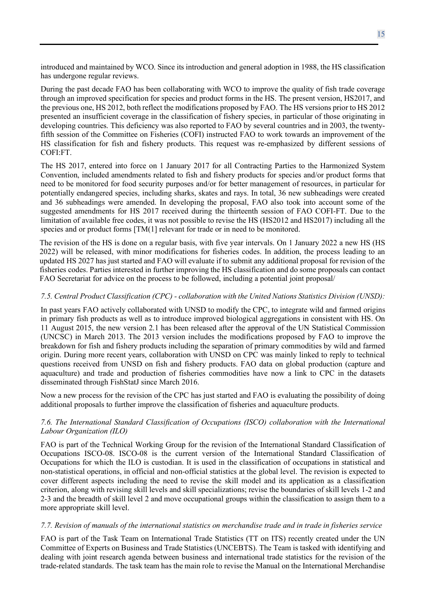introduced and maintained by WCO. Since its introduction and general adoption in 1988, the HS classification has undergone regular reviews.

During the past decade FAO has been collaborating with WCO to improve the quality of fish trade coverage through an improved specification for species and product forms in the HS. The present version, HS2017, and the previous one, HS 2012, both reflect the modifications proposed by FAO. The HS versions prior to HS 2012 presented an insufficient coverage in the classification of fishery species, in particular of those originating in developing countries. This deficiency was also reported to FAO by several countries and in 2003, the twentyfifth session of the Committee on Fisheries (COFI) instructed FAO to work towards an improvement of the HS classification for fish and fishery products. This request was re-emphasized by different sessions of COFI:FT.

The HS 2017, entered into force on 1 January 2017 for all Contracting Parties to the Harmonized System Convention, included amendments related to fish and fishery products for species and/or product forms that need to be monitored for food security purposes and/or for better management of resources, in particular for potentially endangered species, including sharks, skates and rays. In total, 36 new subheadings were created and 36 subheadings were amended. In developing the proposal, FAO also took into account some of the suggested amendments for HS 2017 received during the thirteenth session of FAO COFI-FT. Due to the limitation of available free codes, it was not possible to revise the HS (HS2012 and HS2017) including all the species and or product forms [TM(1] relevant for trade or in need to be monitored.

The revision of the HS is done on a regular basis, with five year intervals. On 1 January 2022 a new HS (HS 2022) will be released, with minor modifications for fisheries codes. In addition, the process leading to an updated HS 2027 has just started and FAO will evaluate if to submit any additional proposal for revision of the fisheries codes. Parties interested in further improving the HS classification and do some proposals can contact FAO Secretariat for advice on the process to be followed, including a potential joint proposal/

#### *7.5. Central Product Classification (CPC) - collaboration with the United Nations Statistics Division (UNSD):*

In past years FAO actively collaborated with UNSD to modify the CPC, to integrate wild and farmed origins in primary fish products as well as to introduce improved biological aggregations in consistent with HS. On 11 August 2015, the new version 2.1 has been released after the approval of the UN Statistical Commission (UNCSC) in March 2013. The 2013 version includes the modifications proposed by FAO to improve the breakdown for fish and fishery products including the separation of primary commodities by wild and farmed origin. During more recent years, collaboration with UNSD on CPC was mainly linked to reply to technical questions received from UNSD on fish and fishery products. FAO data on global production (capture and aquaculture) and trade and production of fisheries commodities have now a link to CPC in the datasets disseminated through FishStatJ since March 2016.

Now a new process for the revision of the CPC has just started and FAO is evaluating the possibility of doing additional proposals to further improve the classification of fisheries and aquaculture products.

### *7.6. The International Standard Classification of Occupations (ISCO) collaboration with the International Labour Organization (ILO)*

FAO is part of the Technical Working Group for the revision of the International Standard Classification of Occupations ISCO-08. ISCO‐08 is the current version of the International Standard Classification of Occupations for which the ILO is custodian. It is used in the classification of occupations in statistical and non‐statistical operations, in official and non‐official statistics at the global level. The revision is expected to cover different aspects including the need to revise the skill model and its application as a classification criterion, along with revising skill levels and skill specializations; revise the boundaries of skill levels 1‐2 and 2‐3 and the breadth of skill level 2 and move occupational groups within the classification to assign them to a more appropriate skill level.

#### *7.7. Revision of manuals of the international statistics on merchandise trade and in trade in fisheries service*

FAO is part of the Task Team on International Trade Statistics (TT on ITS) recently created under the UN Committee of Experts on Business and Trade Statistics (UNCEBTS). The Team is tasked with identifying and dealing with joint research agenda between business and international trade statistics for the revision of the trade-related standards. The task team has the main role to revise the Manual on the International Merchandise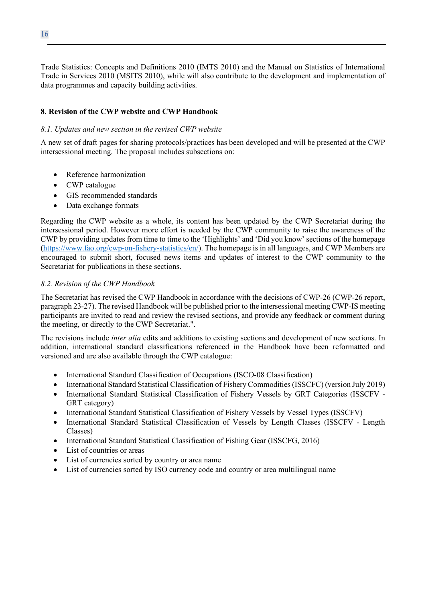Trade Statistics: Concepts and Definitions 2010 (IMTS 2010) and the Manual on Statistics of International Trade in Services 2010 (MSITS 2010), while will also contribute to the development and implementation of data programmes and capacity building activities.

#### **8. Revision of the CWP website and CWP Handbook**

#### *8.1. Updates and new section in the revised CWP website*

A new set of draft pages for sharing protocols/practices has been developed and will be presented at the CWP intersessional meeting. The proposal includes subsections on:

- Reference harmonization
- CWP catalogue
- GIS recommended standards
- Data exchange formats

Regarding the CWP website as a whole, its content has been updated by the CWP Secretariat during the intersessional period. However more effort is needed by the CWP community to raise the awareness of the CWP by providing updates from time to time to the 'Highlights' and 'Did you know' sections of the homepage [\(https://www.fao.org/cwp-on-fishery-statistics/en/\)](https://www.fao.org/cwp-on-fishery-statistics/en/). The homepage is in all languages, and CWP Members are encouraged to submit short, focused news items and updates of interest to the CWP community to the Secretariat for publications in these sections.

#### *8.2. Revision of the CWP Handbook*

The Secretariat has revised the CWP Handbook in accordance with the decisions of CWP-26 (CWP-26 report, paragraph 23-27). The revised Handbook will be published prior to the intersessional meeting CWP-IS meeting participants are invited to read and review the revised sections, and provide any feedback or comment during the meeting, or directly to the CWP Secretariat.".

The revisions include *inter alia* edits and additions to existing sections and development of new sections. In addition, international standard classifications referenced in the Handbook have been reformatted and versioned and are also available through the CWP catalogue:

- International Standard Classification of Occupations (ISCO-08 Classification)
- International Standard Statistical Classification of Fishery Commodities (ISSCFC) (version July 2019)
- International Standard Statistical Classification of Fishery Vessels by GRT Categories (ISSCFV GRT category)
- International Standard Statistical Classification of Fishery Vessels by Vessel Types (ISSCFV)
- International Standard Statistical Classification of Vessels by Length Classes (ISSCFV Length Classes)
- International Standard Statistical Classification of Fishing Gear (ISSCFG, 2016)
- List of countries or areas
- List of currencies sorted by country or area name
- List of currencies sorted by ISO currency code and country or area multilingual name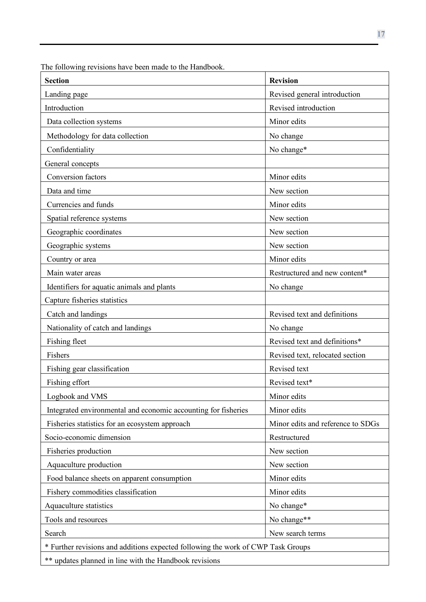| <b>Section</b>                                                                   | <b>Revision</b>                   |
|----------------------------------------------------------------------------------|-----------------------------------|
| Landing page                                                                     | Revised general introduction      |
| Introduction                                                                     | Revised introduction              |
| Data collection systems                                                          | Minor edits                       |
| Methodology for data collection                                                  | No change                         |
| Confidentiality                                                                  | No change*                        |
| General concepts                                                                 |                                   |
| <b>Conversion</b> factors                                                        | Minor edits                       |
| Data and time                                                                    | New section                       |
| Currencies and funds                                                             | Minor edits                       |
| Spatial reference systems                                                        | New section                       |
| Geographic coordinates                                                           | New section                       |
| Geographic systems                                                               | New section                       |
| Country or area                                                                  | Minor edits                       |
| Main water areas                                                                 | Restructured and new content*     |
| Identifiers for aquatic animals and plants                                       | No change                         |
| Capture fisheries statistics                                                     |                                   |
| Catch and landings                                                               | Revised text and definitions      |
| Nationality of catch and landings                                                | No change                         |
| Fishing fleet                                                                    | Revised text and definitions*     |
| Fishers                                                                          | Revised text, relocated section   |
| Fishing gear classification                                                      | Revised text                      |
| Fishing effort                                                                   | Revised text*                     |
| Logbook and VMS                                                                  | Minor edits                       |
| Integrated environmental and economic accounting for fisheries                   | Minor edits                       |
| Fisheries statistics for an ecosystem approach                                   | Minor edits and reference to SDGs |
| Socio-economic dimension                                                         | Restructured                      |
| Fisheries production                                                             | New section                       |
| Aquaculture production                                                           | New section                       |
| Food balance sheets on apparent consumption                                      | Minor edits                       |
| Fishery commodities classification                                               | Minor edits                       |
| Aquaculture statistics                                                           | No change*                        |
| Tools and resources                                                              | No change**                       |
| Search                                                                           | New search terms                  |
| * Further revisions and additions expected following the work of CWP Task Groups |                                   |
| ** updates planned in line with the Handbook revisions                           |                                   |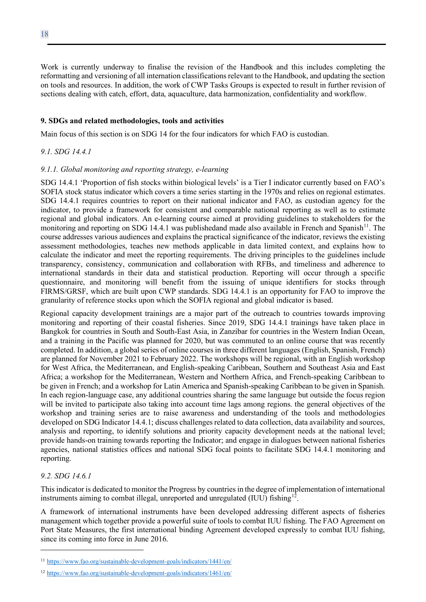Work is currently underway to finalise the revision of the Handbook and this includes completing the reformatting and versioning of all internation classifications relevant to the Handbook, and updating the section on tools and resources. In addition, the work of CWP Tasks Groups is expected to result in further revision of sections dealing with catch, effort, data, aquaculture, data harmonization, confidentiality and workflow.

#### **9. SDGs and related methodologies, tools and activities**

Main focus of this section is on SDG 14 for the four indicators for which FAO is custodian.

## *9.1. SDG 14.4.1*

### *9.1.1. Global monitoring and reporting strategy, e-learning*

SDG 14.4.1 'Proportion of fish stocks within biological levels' is a Tier I indicator currently based on FAO's SOFIA stock status indicator which covers a time series starting in the 1970s and relies on regional estimates. SDG 14.4.1 requires countries to report on their national indicator and FAO, as custodian agency for the indicator, to provide a framework for consistent and comparable national reporting as well as to estimate regional and global indicators. An e-learning course aimed at providing guidelines to stakeholders for the monitoring and reporting on SDG 14.4.1 was publishedand made also available in French and Spanish<sup>[11](#page-17-0)</sup>. The course addresses various audiences and explains the practical significance of the indicator, reviews the existing assessment methodologies, teaches new methods applicable in data limited context, and explains how to calculate the indicator and meet the reporting requirements. The driving principles to the guidelines include transparency, consistency, communication and collaboration with RFBs, and timeliness and adherence to international standards in their data and statistical production. Reporting will occur through a specific questionnaire, and monitoring will benefit from the issuing of unique identifiers for stocks through FIRMS/GRSF, which are built upon CWP standards. SDG 14.4.1 is an opportunity for FAO to improve the granularity of reference stocks upon which the SOFIA regional and global indicator is based.

Regional capacity development trainings are a major part of the outreach to countries towards improving monitoring and reporting of their coastal fisheries. Since 2019, SDG 14.4.1 trainings have taken place in Bangkok for countries in South and South-East Asia, in Zanzibar for countries in the Western Indian Ocean, and a training in the Pacific was planned for 2020, but was commuted to an online course that was recently completed. In addition, a global series of online courses in three different languages (English, Spanish, French) are planned for November 2021 to February 2022. The workshops will be regional, with an English workshop for West Africa, the Mediterranean, and English-speaking Caribbean, Southern and Southeast Asia and East Africa; a workshop for the Mediterranean, Western and Northern Africa, and French-speaking Caribbean to be given in French; and a workshop for Latin America and Spanish-speaking Caribbean to be given in Spanish. In each region-language case, any additional countries sharing the same language but outside the focus region will be invited to participate also taking into account time lags among regions. the general objectives of the workshop and training series are to raise awareness and understanding of the tools and methodologies developed on SDG Indicator 14.4.1; discuss challenges related to data collection, data availability and sources, analysis and reporting, to identify solutions and priority capacity development needs at the national level; provide hands-on training towards reporting the Indicator; and engage in dialogues between national fisheries agencies, national statistics offices and national SDG focal points to facilitate SDG 14.4.1 monitoring and reporting.

## *9.2. SDG 14.6.1*

This indicator is dedicated to monitor the Progress by countries in the degree of implementation of international instruments aiming to combat illegal, unreported and unregulated (IUU) fishing<sup>[12](#page-17-1)</sup>.

A framework of international instruments have been developed addressing different aspects of fisheries management which together provide a powerful suite of tools to combat IUU fishing. The FAO Agreement on Port State Measures, the first international binding Agreement developed expressly to combat IUU fishing, since its coming into force in June 2016.

<span id="page-17-0"></span><sup>11</sup> <https://www.fao.org/sustainable-development-goals/indicators/1441/en/>

<span id="page-17-1"></span><sup>12</sup> <https://www.fao.org/sustainable-development-goals/indicators/1461/en/>